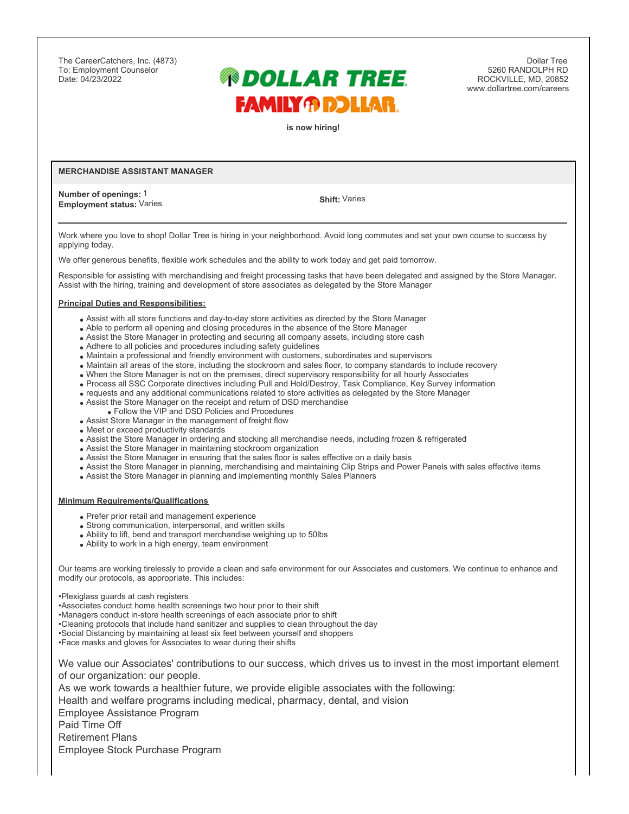The CareerCatchers, Inc. (4873) To: Employment Counselor Date: 04/23/2022

# **® DOLLAR TREE FAMILY ® DOLLAR.**

Dollar Tree 5260 RANDOLPH RD ROCKVILLE, MD, 20852 www.dollartree.com/careers

**is now hiring!**

### **MERCHANDISE ASSISTANT MANAGER**

**Number of openings:** 1 **Employment status:** Varies **Shift:** Varies

Work where you love to shop! Dollar Tree is hiring in your neighborhood. Avoid long commutes and set your own course to success by applying today.

We offer generous benefits, flexible work schedules and the ability to work today and get paid tomorrow.

Responsible for assisting with merchandising and freight processing tasks that have been delegated and assigned by the Store Manager. Assist with the hiring, training and development of store associates as delegated by the Store Manager

#### **Principal Duties and Responsibilities:**

- Assist with all store functions and day-to-day store activities as directed by the Store Manager
- Able to perform all opening and closing procedures in the absence of the Store Manager
- Assist the Store Manager in protecting and securing all company assets, including store cash
- Adhere to all policies and procedures including safety guidelines
- Maintain a professional and friendly environment with customers, subordinates and supervisors
- Maintain all areas of the store, including the stockroom and sales floor, to company standards to include recovery
- When the Store Manager is not on the premises, direct supervisory responsibility for all hourly Associates
- Process all SSC Corporate directives including Pull and Hold/Destroy, Task Compliance, Key Survey information
- requests and any additional communications related to store activities as delegated by the Store Manager
- Assist the Store Manager on the receipt and return of DSD merchandise
	- Follow the VIP and DSD Policies and Procedures
- Assist Store Manager in the management of freight flow
- Meet or exceed productivity standards
- Assist the Store Manager in ordering and stocking all merchandise needs, including frozen & refrigerated
- Assist the Store Manager in maintaining stockroom organization
- Assist the Store Manager in ensuring that the sales floor is sales effective on a daily basis
- Assist the Store Manager in planning, merchandising and maintaining Clip Strips and Power Panels with sales effective items
- Assist the Store Manager in planning and implementing monthly Sales Planners

#### **Minimum Requirements/Qualifications**

- Prefer prior retail and management experience
- Strong communication, interpersonal, and written skills
- Ability to lift, bend and transport merchandise weighing up to 50lbs
- Ability to work in a high energy, team environment

Our teams are working tirelessly to provide a clean and safe environment for our Associates and customers. We continue to enhance and modify our protocols, as appropriate. This includes:

•Plexiglass guards at cash registers

•Associates conduct home health screenings two hour prior to their shift

•Managers conduct in-store health screenings of each associate prior to shift

•Cleaning protocols that include hand sanitizer and supplies to clean throughout the day

•Social Distancing by maintaining at least six feet between yourself and shoppers

•Face masks and gloves for Associates to wear during their shifts

We value our Associates' contributions to our success, which drives us to invest in the most important element of our organization: our people.

As we work towards a healthier future, we provide eligible associates with the following:

Health and welfare programs including medical, pharmacy, dental, and vision

Employee Assistance Program

Paid Time Off

Retirement Plans

Employee Stock Purchase Program